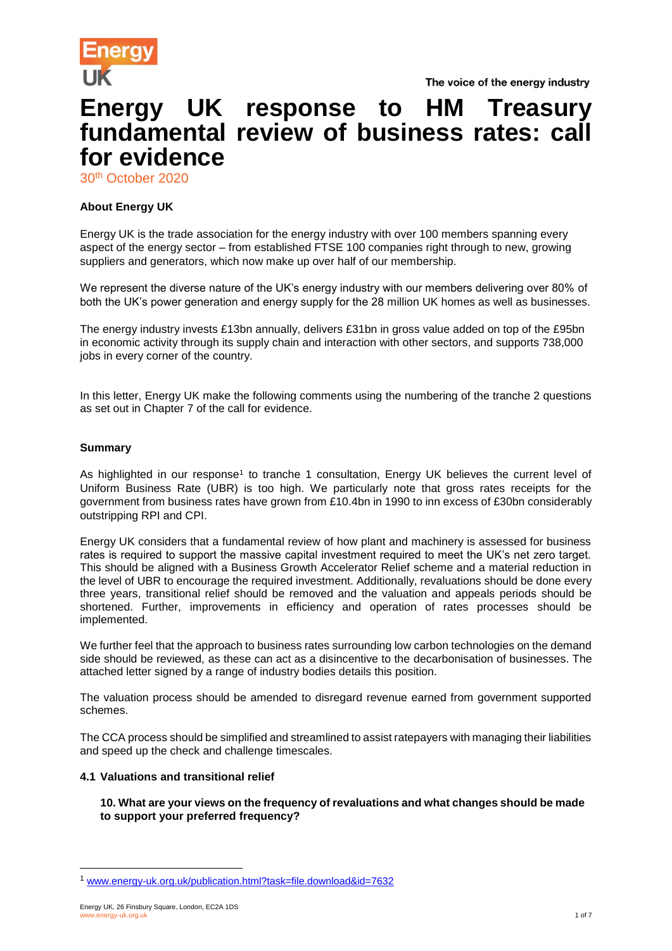

The voice of the energy industry

# **Energy UK response to HM Treasury fundamental review of business rates: call for evidence**

30 th October 2020

# **About Energy UK**

Energy UK is the trade association for the energy industry with over 100 members spanning every aspect of the energy sector – from established FTSE 100 companies right through to new, growing suppliers and generators, which now make up over half of our membership.

We represent the diverse nature of the UK's energy industry with our members delivering over 80% of both the UK's power generation and energy supply for the 28 million UK homes as well as businesses.

The energy industry invests £13bn annually, delivers £31bn in gross value added on top of the £95bn in economic activity through its supply chain and interaction with other sectors, and supports 738,000 jobs in every corner of the country.

In this letter, Energy UK make the following comments using the numbering of the tranche 2 questions as set out in Chapter 7 of the call for evidence.

## **Summary**

As highlighted in our response<sup>1</sup> to tranche 1 consultation, Energy UK believes the current level of Uniform Business Rate (UBR) is too high. We particularly note that gross rates receipts for the government from business rates have grown from £10.4bn in 1990 to inn excess of £30bn considerably outstripping RPI and CPI.

Energy UK considers that a fundamental review of how plant and machinery is assessed for business rates is required to support the massive capital investment required to meet the UK's net zero target. This should be aligned with a Business Growth Accelerator Relief scheme and a material reduction in the level of UBR to encourage the required investment. Additionally, revaluations should be done every three years, transitional relief should be removed and the valuation and appeals periods should be shortened. Further, improvements in efficiency and operation of rates processes should be implemented.

We further feel that the approach to business rates surrounding low carbon technologies on the demand side should be reviewed, as these can act as a disincentive to the decarbonisation of businesses. The attached letter signed by a range of industry bodies details this position.

The valuation process should be amended to disregard revenue earned from government supported schemes.

The CCA process should be simplified and streamlined to assist ratepayers with managing their liabilities and speed up the check and challenge timescales.

## **4.1 Valuations and transitional relief**

**10. What are your views on the frequency of revaluations and what changes should be made to support your preferred frequency?** 

l

<sup>1</sup> [www.energy-uk.org.uk/publication.html?task=file.download&id=7632](http://www.energy-uk.org.uk/publication.html?task=file.download&id=7632)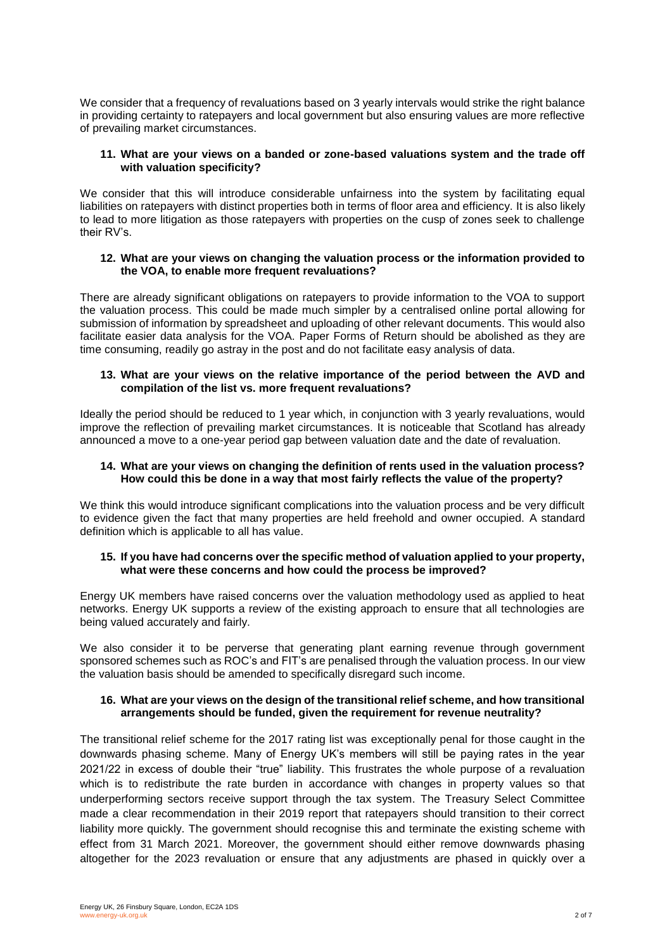We consider that a frequency of revaluations based on 3 yearly intervals would strike the right balance in providing certainty to ratepayers and local government but also ensuring values are more reflective of prevailing market circumstances.

## **11. What are your views on a banded or zone-based valuations system and the trade off with valuation specificity?**

We consider that this will introduce considerable unfairness into the system by facilitating equal liabilities on ratepayers with distinct properties both in terms of floor area and efficiency. It is also likely to lead to more litigation as those ratepayers with properties on the cusp of zones seek to challenge their RV's.

## **12. What are your views on changing the valuation process or the information provided to the VOA, to enable more frequent revaluations?**

There are already significant obligations on ratepayers to provide information to the VOA to support the valuation process. This could be made much simpler by a centralised online portal allowing for submission of information by spreadsheet and uploading of other relevant documents. This would also facilitate easier data analysis for the VOA. Paper Forms of Return should be abolished as they are time consuming, readily go astray in the post and do not facilitate easy analysis of data.

## **13. What are your views on the relative importance of the period between the AVD and compilation of the list vs. more frequent revaluations?**

Ideally the period should be reduced to 1 year which, in conjunction with 3 yearly revaluations, would improve the reflection of prevailing market circumstances. It is noticeable that Scotland has already announced a move to a one-year period gap between valuation date and the date of revaluation.

## **14. What are your views on changing the definition of rents used in the valuation process? How could this be done in a way that most fairly reflects the value of the property?**

We think this would introduce significant complications into the valuation process and be very difficult to evidence given the fact that many properties are held freehold and owner occupied. A standard definition which is applicable to all has value.

## **15. If you have had concerns over the specific method of valuation applied to your property, what were these concerns and how could the process be improved?**

Energy UK members have raised concerns over the valuation methodology used as applied to heat networks. Energy UK supports a review of the existing approach to ensure that all technologies are being valued accurately and fairly.

We also consider it to be perverse that generating plant earning revenue through government sponsored schemes such as ROC's and FIT's are penalised through the valuation process. In our view the valuation basis should be amended to specifically disregard such income.

## **16. What are your views on the design of the transitional relief scheme, and how transitional arrangements should be funded, given the requirement for revenue neutrality?**

The transitional relief scheme for the 2017 rating list was exceptionally penal for those caught in the downwards phasing scheme. Many of Energy UK's members will still be paying rates in the year 2021/22 in excess of double their "true" liability. This frustrates the whole purpose of a revaluation which is to redistribute the rate burden in accordance with changes in property values so that underperforming sectors receive support through the tax system. The Treasury Select Committee made a clear recommendation in their 2019 report that ratepayers should transition to their correct liability more quickly. The government should recognise this and terminate the existing scheme with effect from 31 March 2021. Moreover, the government should either remove downwards phasing altogether for the 2023 revaluation or ensure that any adjustments are phased in quickly over a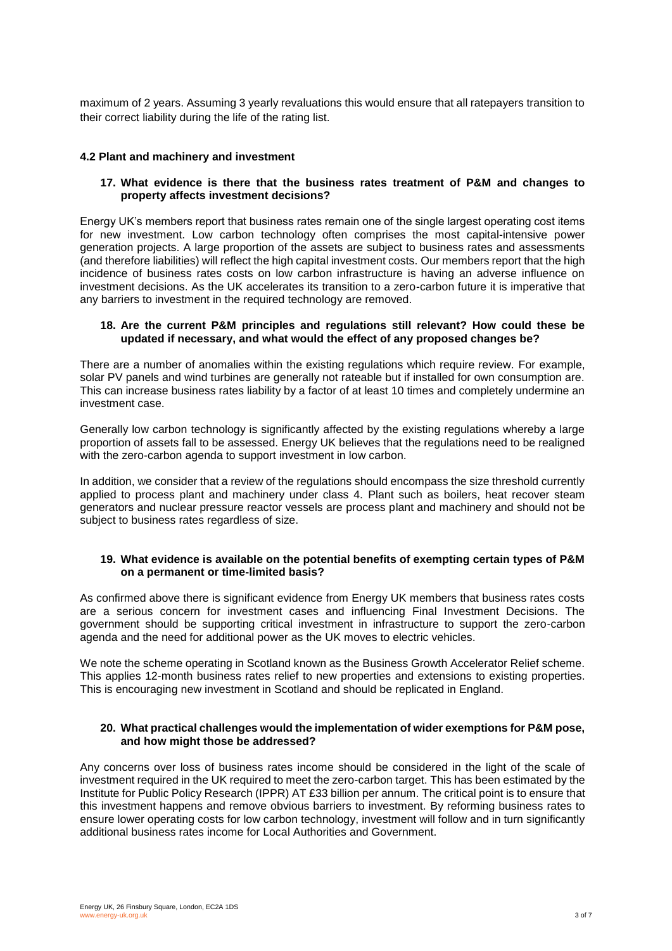maximum of 2 years. Assuming 3 yearly revaluations this would ensure that all ratepayers transition to their correct liability during the life of the rating list.

## **4.2 Plant and machinery and investment**

## **17. What evidence is there that the business rates treatment of P&M and changes to property affects investment decisions?**

Energy UK's members report that business rates remain one of the single largest operating cost items for new investment. Low carbon technology often comprises the most capital-intensive power generation projects. A large proportion of the assets are subject to business rates and assessments (and therefore liabilities) will reflect the high capital investment costs. Our members report that the high incidence of business rates costs on low carbon infrastructure is having an adverse influence on investment decisions. As the UK accelerates its transition to a zero-carbon future it is imperative that any barriers to investment in the required technology are removed.

#### **18. Are the current P&M principles and regulations still relevant? How could these be updated if necessary, and what would the effect of any proposed changes be?**

There are a number of anomalies within the existing regulations which require review. For example, solar PV panels and wind turbines are generally not rateable but if installed for own consumption are. This can increase business rates liability by a factor of at least 10 times and completely undermine an investment case.

Generally low carbon technology is significantly affected by the existing regulations whereby a large proportion of assets fall to be assessed. Energy UK believes that the regulations need to be realigned with the zero-carbon agenda to support investment in low carbon.

In addition, we consider that a review of the regulations should encompass the size threshold currently applied to process plant and machinery under class 4. Plant such as boilers, heat recover steam generators and nuclear pressure reactor vessels are process plant and machinery and should not be subject to business rates regardless of size.

#### **19. What evidence is available on the potential benefits of exempting certain types of P&M on a permanent or time-limited basis?**

As confirmed above there is significant evidence from Energy UK members that business rates costs are a serious concern for investment cases and influencing Final Investment Decisions. The government should be supporting critical investment in infrastructure to support the zero-carbon agenda and the need for additional power as the UK moves to electric vehicles.

We note the scheme operating in Scotland known as the Business Growth Accelerator Relief scheme. This applies 12-month business rates relief to new properties and extensions to existing properties. This is encouraging new investment in Scotland and should be replicated in England.

#### **20. What practical challenges would the implementation of wider exemptions for P&M pose, and how might those be addressed?**

Any concerns over loss of business rates income should be considered in the light of the scale of investment required in the UK required to meet the zero-carbon target. This has been estimated by the Institute for Public Policy Research (IPPR) AT £33 billion per annum. The critical point is to ensure that this investment happens and remove obvious barriers to investment. By reforming business rates to ensure lower operating costs for low carbon technology, investment will follow and in turn significantly additional business rates income for Local Authorities and Government.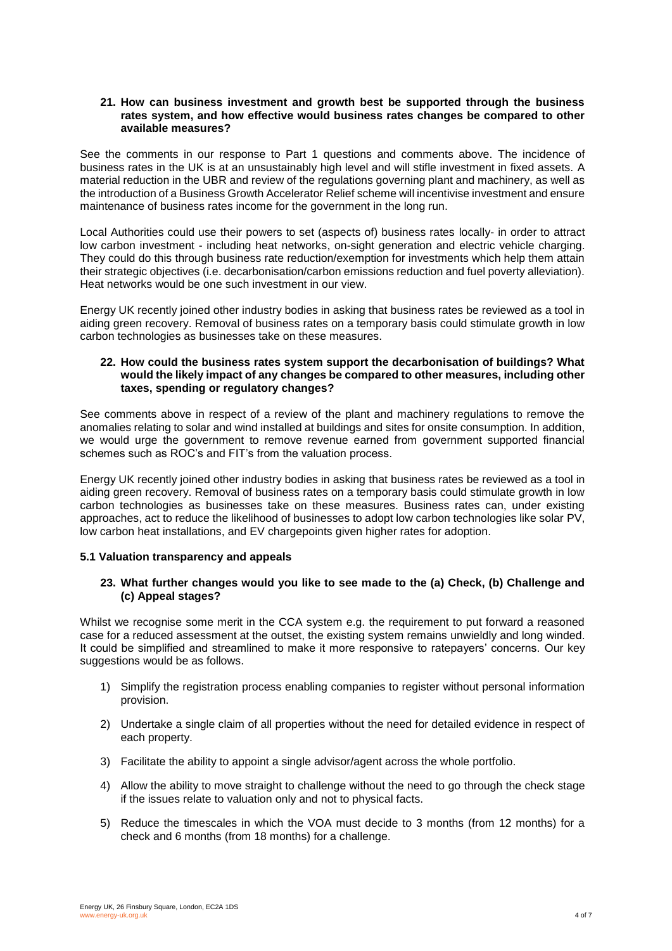#### **21. How can business investment and growth best be supported through the business rates system, and how effective would business rates changes be compared to other available measures?**

See the comments in our response to Part 1 questions and comments above. The incidence of business rates in the UK is at an unsustainably high level and will stifle investment in fixed assets. A material reduction in the UBR and review of the regulations governing plant and machinery, as well as the introduction of a Business Growth Accelerator Relief scheme will incentivise investment and ensure maintenance of business rates income for the government in the long run.

Local Authorities could use their powers to set (aspects of) business rates locally- in order to attract low carbon investment - including heat networks, on-sight generation and electric vehicle charging. They could do this through business rate reduction/exemption for investments which help them attain their strategic objectives (i.e. decarbonisation/carbon emissions reduction and fuel poverty alleviation). Heat networks would be one such investment in our view.

Energy UK recently joined other industry bodies in asking that business rates be reviewed as a tool in aiding green recovery. Removal of business rates on a temporary basis could stimulate growth in low carbon technologies as businesses take on these measures.

## **22. How could the business rates system support the decarbonisation of buildings? What would the likely impact of any changes be compared to other measures, including other taxes, spending or regulatory changes?**

See comments above in respect of a review of the plant and machinery regulations to remove the anomalies relating to solar and wind installed at buildings and sites for onsite consumption. In addition, we would urge the government to remove revenue earned from government supported financial schemes such as ROC's and FIT's from the valuation process.

Energy UK recently joined other industry bodies in asking that business rates be reviewed as a tool in aiding green recovery. Removal of business rates on a temporary basis could stimulate growth in low carbon technologies as businesses take on these measures. Business rates can, under existing approaches, act to reduce the likelihood of businesses to adopt low carbon technologies like solar PV, low carbon heat installations, and EV chargepoints given higher rates for adoption.

#### **5.1 Valuation transparency and appeals**

## **23. What further changes would you like to see made to the (a) Check, (b) Challenge and (c) Appeal stages?**

Whilst we recognise some merit in the CCA system e.g. the requirement to put forward a reasoned case for a reduced assessment at the outset, the existing system remains unwieldly and long winded. It could be simplified and streamlined to make it more responsive to ratepayers' concerns. Our key suggestions would be as follows.

- 1) Simplify the registration process enabling companies to register without personal information provision.
- 2) Undertake a single claim of all properties without the need for detailed evidence in respect of each property.
- 3) Facilitate the ability to appoint a single advisor/agent across the whole portfolio.
- 4) Allow the ability to move straight to challenge without the need to go through the check stage if the issues relate to valuation only and not to physical facts.
- 5) Reduce the timescales in which the VOA must decide to 3 months (from 12 months) for a check and 6 months (from 18 months) for a challenge.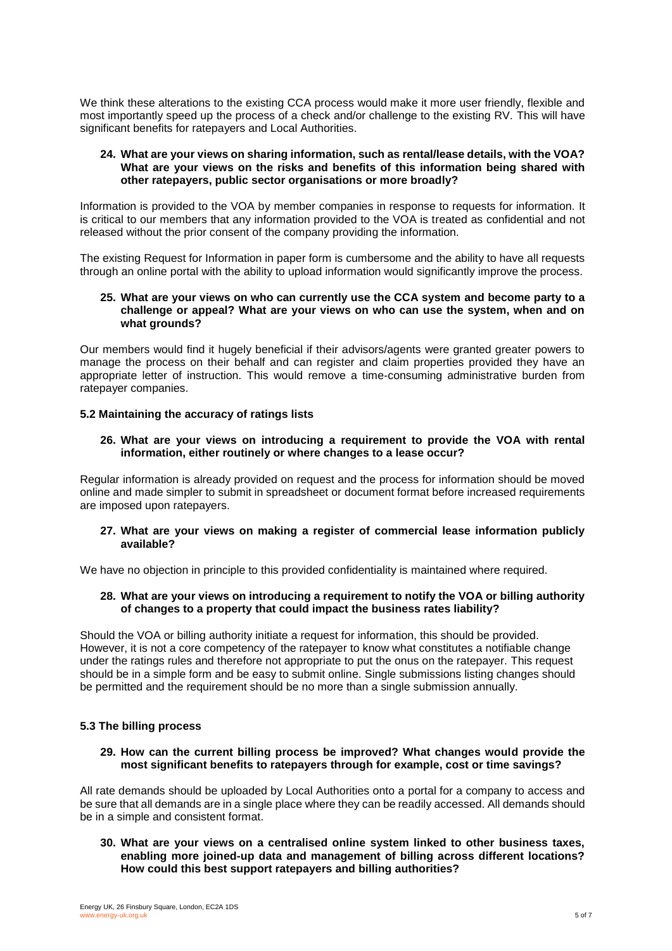We think these alterations to the existing CCA process would make it more user friendly, flexible and most importantly speed up the process of a check and/or challenge to the existing RV. This will have significant benefits for ratepayers and Local Authorities.

## **24. What are your views on sharing information, such as rental/lease details, with the VOA? What are your views on the risks and benefits of this information being shared with other ratepayers, public sector organisations or more broadly?**

Information is provided to the VOA by member companies in response to requests for information. It is critical to our members that any information provided to the VOA is treated as confidential and not released without the prior consent of the company providing the information.

The existing Request for Information in paper form is cumbersome and the ability to have all requests through an online portal with the ability to upload information would significantly improve the process.

#### **25. What are your views on who can currently use the CCA system and become party to a challenge or appeal? What are your views on who can use the system, when and on what grounds?**

Our members would find it hugely beneficial if their advisors/agents were granted greater powers to manage the process on their behalf and can register and claim properties provided they have an appropriate letter of instruction. This would remove a time-consuming administrative burden from ratepayer companies.

## **5.2 Maintaining the accuracy of ratings lists**

## **26. What are your views on introducing a requirement to provide the VOA with rental information, either routinely or where changes to a lease occur?**

Regular information is already provided on request and the process for information should be moved online and made simpler to submit in spreadsheet or document format before increased requirements are imposed upon ratepayers.

#### **27. What are your views on making a register of commercial lease information publicly available?**

We have no objection in principle to this provided confidentiality is maintained where required.

#### **28. What are your views on introducing a requirement to notify the VOA or billing authority of changes to a property that could impact the business rates liability?**

Should the VOA or billing authority initiate a request for information, this should be provided. However, it is not a core competency of the ratepayer to know what constitutes a notifiable change under the ratings rules and therefore not appropriate to put the onus on the ratepayer. This request should be in a simple form and be easy to submit online. Single submissions listing changes should be permitted and the requirement should be no more than a single submission annually.

#### **5.3 The billing process**

#### **29. How can the current billing process be improved? What changes would provide the most significant benefits to ratepayers through for example, cost or time savings?**

All rate demands should be uploaded by Local Authorities onto a portal for a company to access and be sure that all demands are in a single place where they can be readily accessed. All demands should be in a simple and consistent format.

#### **30. What are your views on a centralised online system linked to other business taxes, enabling more joined-up data and management of billing across different locations? How could this best support ratepayers and billing authorities?**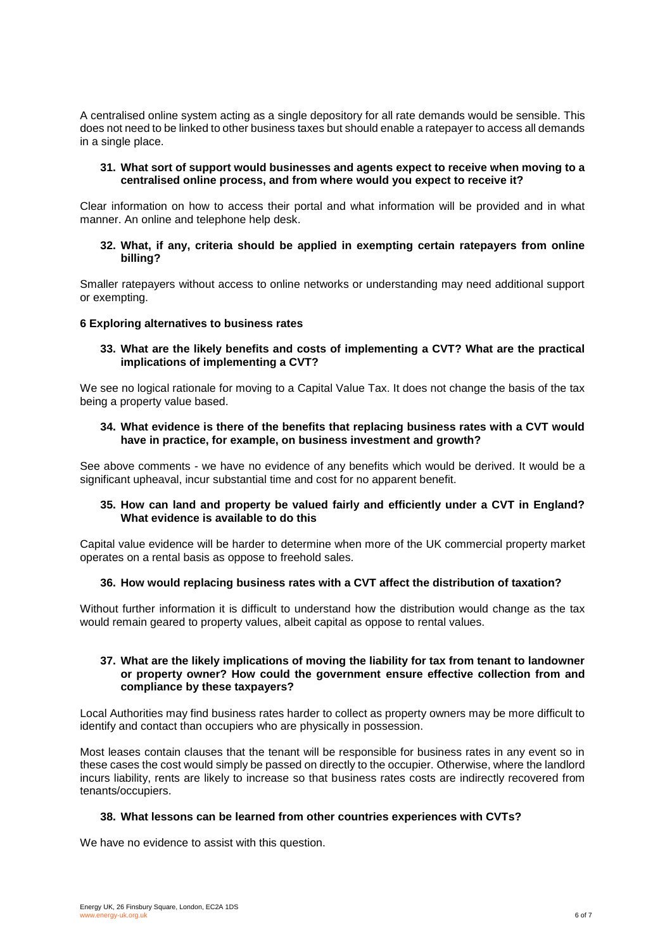A centralised online system acting as a single depository for all rate demands would be sensible. This does not need to be linked to other business taxes but should enable a ratepayer to access all demands in a single place.

## **31. What sort of support would businesses and agents expect to receive when moving to a centralised online process, and from where would you expect to receive it?**

Clear information on how to access their portal and what information will be provided and in what manner. An online and telephone help desk.

## **32. What, if any, criteria should be applied in exempting certain ratepayers from online billing?**

Smaller ratepayers without access to online networks or understanding may need additional support or exempting.

#### **6 Exploring alternatives to business rates**

**33. What are the likely benefits and costs of implementing a CVT? What are the practical implications of implementing a CVT?** 

We see no logical rationale for moving to a Capital Value Tax. It does not change the basis of the tax being a property value based.

#### **34. What evidence is there of the benefits that replacing business rates with a CVT would have in practice, for example, on business investment and growth?**

See above comments - we have no evidence of any benefits which would be derived. It would be a significant upheaval, incur substantial time and cost for no apparent benefit.

#### **35. How can land and property be valued fairly and efficiently under a CVT in England? What evidence is available to do this**

Capital value evidence will be harder to determine when more of the UK commercial property market operates on a rental basis as oppose to freehold sales.

#### **36. How would replacing business rates with a CVT affect the distribution of taxation?**

Without further information it is difficult to understand how the distribution would change as the tax would remain geared to property values, albeit capital as oppose to rental values.

#### **37. What are the likely implications of moving the liability for tax from tenant to landowner or property owner? How could the government ensure effective collection from and compliance by these taxpayers?**

Local Authorities may find business rates harder to collect as property owners may be more difficult to identify and contact than occupiers who are physically in possession.

Most leases contain clauses that the tenant will be responsible for business rates in any event so in these cases the cost would simply be passed on directly to the occupier. Otherwise, where the landlord incurs liability, rents are likely to increase so that business rates costs are indirectly recovered from tenants/occupiers.

#### **38. What lessons can be learned from other countries experiences with CVTs?**

We have no evidence to assist with this question.